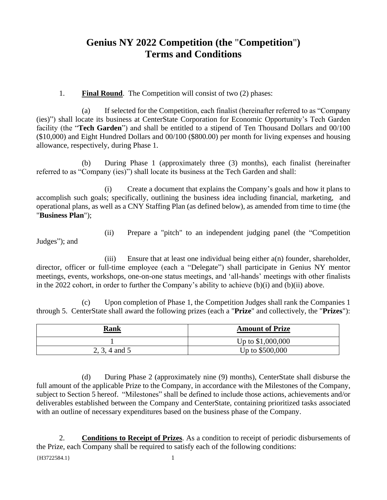# **Genius NY 2022 Competition (the** "**Competition**"**) Terms and Conditions**

### 1. **Final Round**. The Competition will consist of two (2) phases:

(a) If selected for the Competition, each finalist (hereinafter referred to as "Company (ies)") shall locate its business at CenterState Corporation for Economic Opportunity's Tech Garden facility (the "**Tech Garden**") and shall be entitled to a stipend of Ten Thousand Dollars and 00/100 (\$10,000) and Eight Hundred Dollars and 00/100 (\$800.00) per month for living expenses and housing allowance, respectively, during Phase 1.

(b) During Phase 1 (approximately three (3) months), each finalist (hereinafter referred to as "Company (ies)") shall locate its business at the Tech Garden and shall:

(i) Create a document that explains the Company's goals and how it plans to accomplish such goals; specifically, outlining the business idea including financial, marketing, and operational plans, as well as a CNY Staffing Plan (as defined below), as amended from time to time (the "**Business Plan**");

Judges"); and

(ii) Prepare a "pitch" to an independent judging panel (the "Competition

(iii) Ensure that at least one individual being either a(n) founder, shareholder, director, officer or full-time employee (each a "Delegate") shall participate in Genius NY mentor meetings, events, workshops, one-on-one status meetings, and 'all-hands' meetings with other finalists in the 2022 cohort, in order to further the Company's ability to achieve (b)(i) and (b)(ii) above.

(c) Upon completion of Phase 1, the Competition Judges shall rank the Companies 1 through 5. CenterState shall award the following prizes (each a "**Prize**" and collectively, the "**Prizes**"):

| <u>Rank</u>   | <b>Amount of Prize</b> |
|---------------|------------------------|
|               | Up to \$1,000,000      |
| 2, 3, 4 and 5 | Up to \$500,000        |

(d) During Phase 2 (approximately nine (9) months), CenterState shall disburse the full amount of the applicable Prize to the Company, in accordance with the Milestones of the Company, subject to Section 5 hereof. "Milestones" shall be defined to include those actions, achievements and/or deliverables established between the Company and CenterState, containing prioritized tasks associated with an outline of necessary expenditures based on the business phase of the Company.

{H3722584.1} 1 2. **Conditions to Receipt of Prizes**. As a condition to receipt of periodic disbursements of the Prize, each Company shall be required to satisfy each of the following conditions: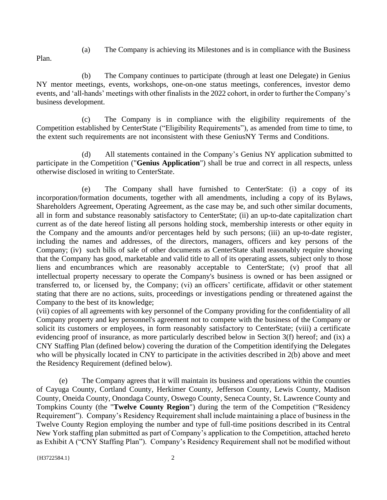(a) The Company is achieving its Milestones and is in compliance with the Business

Plan.

(b) The Company continues to participate (through at least one Delegate) in Genius NY mentor meetings, events, workshops, one-on-one status meetings, conferences, investor demo events, and 'all-hands' meetings with other finalists in the 2022 cohort, in order to further the Company's business development.

(c) The Company is in compliance with the eligibility requirements of the Competition established by CenterState ("Eligibility Requirements"), as amended from time to time, to the extent such requirements are not inconsistent with these GeniusNY Terms and Conditions.

(d) All statements contained in the Company's Genius NY application submitted to participate in the Competition ("**Genius Application**") shall be true and correct in all respects, unless otherwise disclosed in writing to CenterState.

(e) The Company shall have furnished to CenterState: (i) a copy of its incorporation/formation documents, together with all amendments, including a copy of its Bylaws, Shareholders Agreement, Operating Agreement, as the case may be, and such other similar documents, all in form and substance reasonably satisfactory to CenterState; (ii) an up-to-date capitalization chart current as of the date hereof listing all persons holding stock, membership interests or other equity in the Company and the amounts and/or percentages held by such persons; (iii) an up-to-date register, including the names and addresses, of the directors, managers, officers and key persons of the Company; (iv) such bills of sale of other documents as CenterState shall reasonably require showing that the Company has good, marketable and valid title to all of its operating assets, subject only to those liens and encumbrances which are reasonably acceptable to CenterState; (v) proof that all intellectual property necessary to operate the Company's business is owned or has been assigned or transferred to, or licensed by, the Company; (vi) an officers' certificate, affidavit or other statement stating that there are no actions, suits, proceedings or investigations pending or threatened against the Company to the best of its knowledge;

(vii) copies of all agreements with key personnel of the Company providing for the confidentiality of all Company property and key personnel's agreement not to compete with the business of the Company or solicit its customers or employees, in form reasonably satisfactory to CenterState; (viii) a certificate evidencing proof of insurance, as more particularly described below in Section 3(f) hereof; and (ix) a CNY Staffing Plan (defined below) covering the duration of the Competition identifying the Delegates who will be physically located in CNY to participate in the activities described in 2(b) above and meet the Residency Requirement (defined below).

(e) The Company agrees that it will maintain its business and operations within the counties of Cayuga County, Cortland County, Herkimer County, Jefferson County, Lewis County, Madison County, Oneida County, Onondaga County, Oswego County, Seneca County, St. Lawrence County and Tompkins County (the "**Twelve County Region**") during the term of the Competition ("Residency Requirement"). Company's Residency Requirement shall include maintaining a place of business in the Twelve County Region employing the number and type of full-time positions described in its Central New York staffing plan submitted as part of Company's application to the Competition, attached hereto as Exhibit A ("CNY Staffing Plan"). Company's Residency Requirement shall not be modified without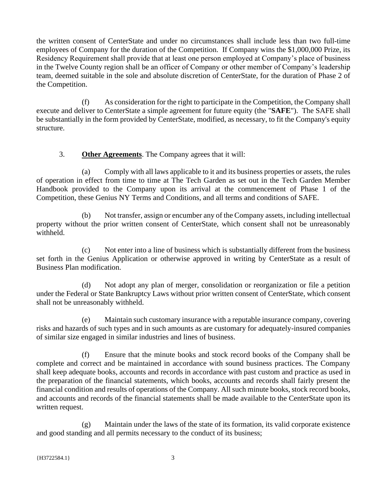the written consent of CenterState and under no circumstances shall include less than two full-time employees of Company for the duration of the Competition. If Company wins the \$1,000,000 Prize, its Residency Requirement shall provide that at least one person employed at Company's place of business in the Twelve County region shall be an officer of Company or other member of Company's leadership team, deemed suitable in the sole and absolute discretion of CenterState, for the duration of Phase 2 of the Competition.

(f) As consideration for the right to participate in the Competition, the Company shall execute and deliver to CenterState a simple agreement for future equity (the "**SAFE**"). The SAFE shall be substantially in the form provided by CenterState, modified, as necessary, to fit the Company's equity structure.

## 3. **Other Agreements**. The Company agrees that it will:

(a) Comply with all laws applicable to it and its business properties or assets, the rules of operation in effect from time to time at The Tech Garden as set out in the Tech Garden Member Handbook provided to the Company upon its arrival at the commencement of Phase 1 of the Competition, these Genius NY Terms and Conditions, and all terms and conditions of SAFE.

(b) Not transfer, assign or encumber any of the Company assets, including intellectual property without the prior written consent of CenterState, which consent shall not be unreasonably withheld.

(c) Not enter into a line of business which is substantially different from the business set forth in the Genius Application or otherwise approved in writing by CenterState as a result of Business Plan modification.

(d) Not adopt any plan of merger, consolidation or reorganization or file a petition under the Federal or State Bankruptcy Laws without prior written consent of CenterState, which consent shall not be unreasonably withheld.

(e) Maintain such customary insurance with a reputable insurance company, covering risks and hazards of such types and in such amounts as are customary for adequately-insured companies of similar size engaged in similar industries and lines of business.

(f) Ensure that the minute books and stock record books of the Company shall be complete and correct and be maintained in accordance with sound business practices. The Company shall keep adequate books, accounts and records in accordance with past custom and practice as used in the preparation of the financial statements, which books, accounts and records shall fairly present the financial condition and results of operations of the Company. All such minute books, stock record books, and accounts and records of the financial statements shall be made available to the CenterState upon its written request.

(g) Maintain under the laws of the state of its formation, its valid corporate existence and good standing and all permits necessary to the conduct of its business;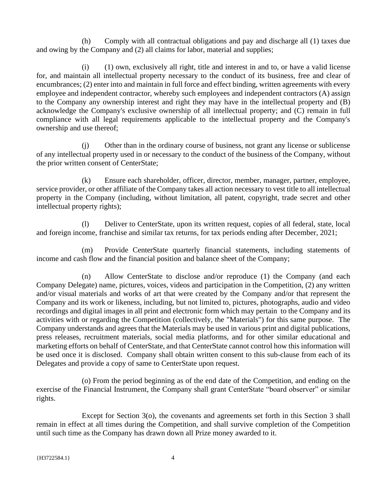(h) Comply with all contractual obligations and pay and discharge all (1) taxes due and owing by the Company and (2) all claims for labor, material and supplies;

(i) (1) own, exclusively all right, title and interest in and to, or have a valid license for, and maintain all intellectual property necessary to the conduct of its business, free and clear of encumbrances; (2) enter into and maintain in full force and effect binding, written agreements with every employee and independent contractor, whereby such employees and independent contractors (A) assign to the Company any ownership interest and right they may have in the intellectual property and (B) acknowledge the Company's exclusive ownership of all intellectual property; and (C) remain in full compliance with all legal requirements applicable to the intellectual property and the Company's ownership and use thereof;

(j) Other than in the ordinary course of business, not grant any license or sublicense of any intellectual property used in or necessary to the conduct of the business of the Company, without the prior written consent of CenterState;

(k) Ensure each shareholder, officer, director, member, manager, partner, employee, service provider, or other affiliate of the Company takes all action necessary to vest title to all intellectual property in the Company (including, without limitation, all patent, copyright, trade secret and other intellectual property rights);

(l) Deliver to CenterState, upon its written request, copies of all federal, state, local and foreign income, franchise and similar tax returns, for tax periods ending after December, 2021;

(m) Provide CenterState quarterly financial statements, including statements of income and cash flow and the financial position and balance sheet of the Company;

(n) Allow CenterState to disclose and/or reproduce (1) the Company (and each Company Delegate) name, pictures, voices, videos and participation in the Competition, (2) any written and/or visual materials and works of art that were created by the Company and/or that represent the Company and its work or likeness, including, but not limited to, pictures, photographs, audio and video recordings and digital images in all print and electronic form which may pertain to the Company and its activities with or regarding the Competition (collectively, the "Materials") for this same purpose. The Company understands and agrees that the Materials may be used in various print and digital publications, press releases, recruitment materials, social media platforms, and for other similar educational and marketing efforts on behalf of CenterState, and that CenterState cannot control how this information will be used once it is disclosed. Company shall obtain written consent to this sub-clause from each of its Delegates and provide a copy of same to CenterState upon request.

(o) From the period beginning as of the end date of the Competition, and ending on the exercise of the Financial Instrument, the Company shall grant CenterState "board observer" or similar rights.

Except for Section 3(o), the covenants and agreements set forth in this Section 3 shall remain in effect at all times during the Competition, and shall survive completion of the Competition until such time as the Company has drawn down all Prize money awarded to it.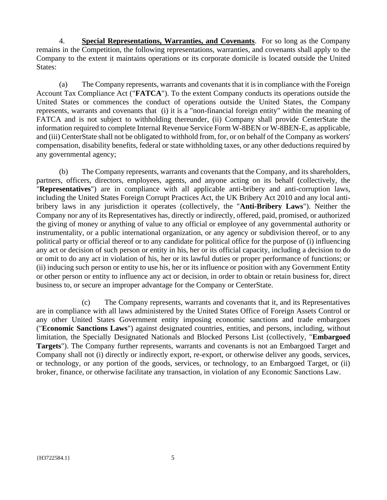4. **Special Representations, Warranties, and Covenants**. For so long as the Company remains in the Competition, the following representations, warranties, and covenants shall apply to the Company to the extent it maintains operations or its corporate domicile is located outside the United States:

(a) The Company represents, warrants and covenants that it is in compliance with the Foreign Account Tax Compliance Act ("**FATCA**"). To the extent Company conducts its operations outside the United States or commences the conduct of operations outside the United States, the Company represents, warrants and covenants that (i) it is a "non-financial foreign entity" within the meaning of FATCA and is not subject to withholding thereunder, (ii) Company shall provide CenterState the information required to complete Internal Revenue Service Form W-8BEN or W-8BEN-E, as applicable, and (iii) CenterState shall not be obligated to withhold from, for, or on behalf of the Company as workers' compensation, disability benefits, federal or state withholding taxes, or any other deductions required by any governmental agency;

(b) The Company represents, warrants and covenants that the Company, and its shareholders, partners, officers, directors, employees, agents, and anyone acting on its behalf (collectively, the "**Representatives**") are in compliance with all applicable anti-bribery and anti-corruption laws, including the United States Foreign Corrupt Practices Act, the UK Bribery Act 2010 and any local antibribery laws in any jurisdiction it operates (collectively, the "**Anti-Bribery Laws**"). Neither the Company nor any of its Representatives has, directly or indirectly, offered, paid, promised, or authorized the giving of money or anything of value to any official or employee of any governmental authority or instrumentality, or a public international organization, or any agency or subdivision thereof, or to any political party or official thereof or to any candidate for political office for the purpose of (i) influencing any act or decision of such person or entity in his, her or its official capacity, including a decision to do or omit to do any act in violation of his, her or its lawful duties or proper performance of functions; or (ii) inducing such person or entity to use his, her or its influence or position with any Government Entity or other person or entity to influence any act or decision, in order to obtain or retain business for, direct business to, or secure an improper advantage for the Company or CenterState.

(c) The Company represents, warrants and covenants that it, and its Representatives are in compliance with all laws administered by the United States Office of Foreign Assets Control or any other United States Government entity imposing economic sanctions and trade embargoes ("**Economic Sanctions Laws**") against designated countries, entities, and persons, including, without limitation, the Specially Designated Nationals and Blocked Persons List (collectively, "**Embargoed Targets**"). The Company further represents, warrants and covenants is not an Embargoed Target and Company shall not (i) directly or indirectly export, re-export, or otherwise deliver any goods, services, or technology, or any portion of the goods, services, or technology, to an Embargoed Target, or (ii) broker, finance, or otherwise facilitate any transaction, in violation of any Economic Sanctions Law.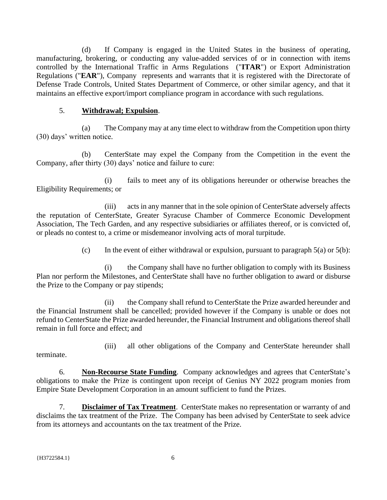(d) If Company is engaged in the United States in the business of operating, manufacturing, brokering, or conducting any value-added services of or in connection with items controlled by the International Traffic in Arms Regulations ("**ITAR**") or Export Administration Regulations ("**EAR**"), Company represents and warrants that it is registered with the Directorate of Defense Trade Controls, United States Department of Commerce, or other similar agency, and that it maintains an effective export/import compliance program in accordance with such regulations.

#### 5. **Withdrawal; Expulsion**.

(a) The Company may at any time elect to withdraw from the Competition upon thirty (30) days' written notice.

(b) CenterState may expel the Company from the Competition in the event the Company, after thirty (30) days' notice and failure to cure:

(i) fails to meet any of its obligations hereunder or otherwise breaches the Eligibility Requirements; or

(iii) acts in any manner that in the sole opinion of CenterState adversely affects the reputation of CenterState, Greater Syracuse Chamber of Commerce Economic Development Association, The Tech Garden, and any respective subsidiaries or affiliates thereof, or is convicted of, or pleads no contest to, a crime or misdemeanor involving acts of moral turpitude.

(c) In the event of either withdrawal or expulsion, pursuant to paragraph  $5(a)$  or  $5(b)$ :

(i) the Company shall have no further obligation to comply with its Business Plan nor perform the Milestones, and CenterState shall have no further obligation to award or disburse the Prize to the Company or pay stipends;

(ii) the Company shall refund to CenterState the Prize awarded hereunder and the Financial Instrument shall be cancelled; provided however if the Company is unable or does not refund to CenterState the Prize awarded hereunder, the Financial Instrument and obligations thereof shall remain in full force and effect; and

terminate.

(iii) all other obligations of the Company and CenterState hereunder shall

6. **Non-Recourse State Funding**. Company acknowledges and agrees that CenterState's obligations to make the Prize is contingent upon receipt of Genius NY 2022 program monies from Empire State Development Corporation in an amount sufficient to fund the Prizes.

7. **Disclaimer of Tax Treatment**. CenterState makes no representation or warranty of and disclaims the tax treatment of the Prize. The Company has been advised by CenterState to seek advice from its attorneys and accountants on the tax treatment of the Prize.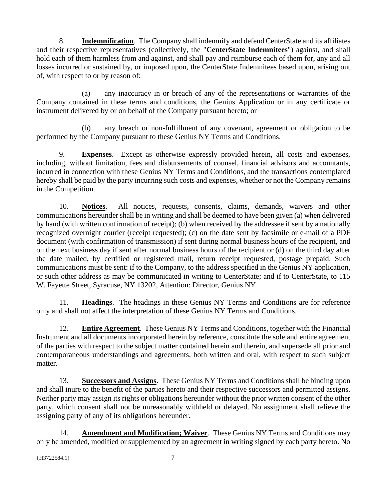8. **Indemnification**. The Company shall indemnify and defend CenterState and its affiliates and their respective representatives (collectively, the "**CenterState Indemnitees**") against, and shall hold each of them harmless from and against, and shall pay and reimburse each of them for, any and all losses incurred or sustained by, or imposed upon, the CenterState Indemnitees based upon, arising out of, with respect to or by reason of:

(a) any inaccuracy in or breach of any of the representations or warranties of the Company contained in these terms and conditions, the Genius Application or in any certificate or instrument delivered by or on behalf of the Company pursuant hereto; or

(b) any breach or non-fulfillment of any covenant, agreement or obligation to be performed by the Company pursuant to these Genius NY Terms and Conditions.

9. **Expenses**. Except as otherwise expressly provided herein, all costs and expenses, including, without limitation, fees and disbursements of counsel, financial advisors and accountants, incurred in connection with these Genius NY Terms and Conditions, and the transactions contemplated hereby shall be paid by the party incurring such costs and expenses, whether or not the Company remains in the Competition.

10. **Notices**. All notices, requests, consents, claims, demands, waivers and other communications hereunder shall be in writing and shall be deemed to have been given (a) when delivered by hand (with written confirmation of receipt); (b) when received by the addressee if sent by a nationally recognized overnight courier (receipt requested); (c) on the date sent by facsimile or e-mail of a PDF document (with confirmation of transmission) if sent during normal business hours of the recipient, and on the next business day if sent after normal business hours of the recipient or (d) on the third day after the date mailed, by certified or registered mail, return receipt requested, postage prepaid. Such communications must be sent: if to the Company, to the address specified in the Genius NY application, or such other address as may be communicated in writing to CenterState; and if to CenterState, to 115 W. Fayette Street, Syracuse, NY 13202, Attention: Director, Genius NY

11. **Headings**. The headings in these Genius NY Terms and Conditions are for reference only and shall not affect the interpretation of these Genius NY Terms and Conditions.

12. **Entire Agreement**. These Genius NY Terms and Conditions, together with the Financial Instrument and all documents incorporated herein by reference, constitute the sole and entire agreement of the parties with respect to the subject matter contained herein and therein, and supersede all prior and contemporaneous understandings and agreements, both written and oral, with respect to such subject matter.

13. **Successors and Assigns**. These Genius NY Terms and Conditions shall be binding upon and shall inure to the benefit of the parties hereto and their respective successors and permitted assigns. Neither party may assign its rights or obligations hereunder without the prior written consent of the other party, which consent shall not be unreasonably withheld or delayed. No assignment shall relieve the assigning party of any of its obligations hereunder.

14. **Amendment and Modification; Waiver**. These Genius NY Terms and Conditions may only be amended, modified or supplemented by an agreement in writing signed by each party hereto. No

{H3722584.1} 7